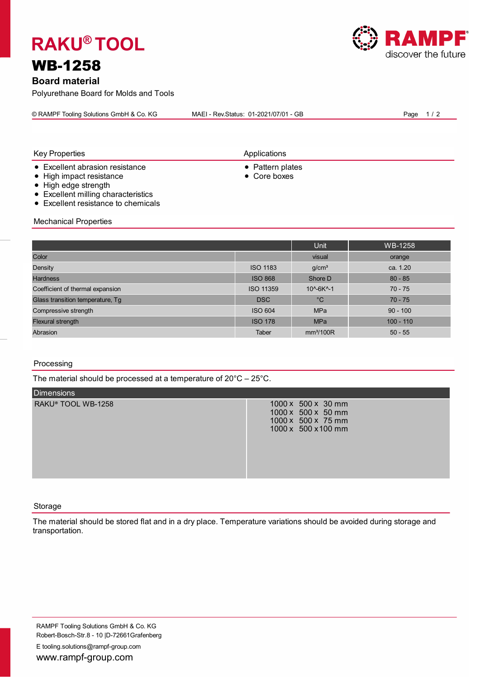# **RAKU® TOOL**

# WB-1258

**Board material**

Polyurethane Board for Molds and Tools

|--|

**Applications** 

- Excellent abrasion resistance ● Pattern plates
- High impact resistance Product and Product and Product and Product and Product and Product and Product and Product and Product and Product and Product and Product and Product and Product and Product and Product and Pr
- High edge strength
- Excellent milling characteristics
- Excellent resistance to chemicals

Mechanical Properties

|                                  |                  | Unit                  | WB-1258     |
|----------------------------------|------------------|-----------------------|-------------|
| Color                            |                  | visual                | orange      |
| Density                          | <b>ISO 1183</b>  | g/cm <sup>3</sup>     | ca. 1.20    |
| <b>Hardness</b>                  | <b>ISO 868</b>   | Shore D               | $80 - 85$   |
| Coefficient of thermal expansion | <b>ISO 11359</b> | 10^-6K^-1             | $70 - 75$   |
| Glass transition temperature, Tg | <b>DSC</b>       | $^{\circ}C$           | $70 - 75$   |
| Compressive strength             | <b>ISO 604</b>   | <b>MPa</b>            | $90 - 100$  |
| <b>Flexural strength</b>         | <b>ISO 178</b>   | <b>MPa</b>            | $100 - 110$ |
| Abrasion                         | Taber            | mm <sup>3</sup> /100R | $50 - 55$   |

## Processing

The material should be processed at a temperature of 20°C – 25°C.

| <b>Dimensions</b>  |                                                                                       |
|--------------------|---------------------------------------------------------------------------------------|
| RAKU® TOOL WB-1258 | 1000 x 500 x 30 mm<br>1000 x 500 x 50 mm<br>1000 x 500 x 75 mm<br>1000 x 500 x 100 mm |

### Storage

The material should be stored flat and in a dry place. Temperature variations should be avoided during storage and transportation.